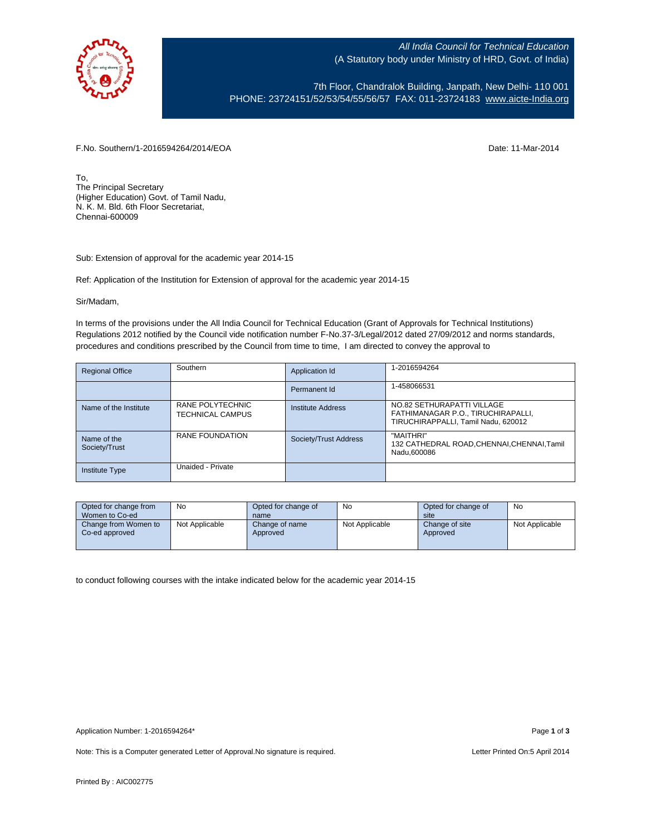

All India Council for Technical Education (A Statutory body under Ministry of HRD, Govt. of India)

7th Floor, Chandralok Building, Janpath, New Delhi- 110 001 PHONE: 23724151/52/53/54/55/56/57 FAX: 011-23724183 [www.aicte-India.org](http://www.aicte-india.org/)

F.No. Southern/1-2016594264/2014/EOA Date: 11-Mar-2014

To, The Principal Secretary (Higher Education) Govt. of Tamil Nadu, N. K. M. Bld. 6th Floor Secretariat, Chennai-600009

Sub: Extension of approval for the academic year 2014-15

Ref: Application of the Institution for Extension of approval for the academic year 2014-15

Sir/Madam,

In terms of the provisions under the All India Council for Technical Education (Grant of Approvals for Technical Institutions) Regulations 2012 notified by the Council vide notification number F-No.37-3/Legal/2012 dated 27/09/2012 and norms standards, procedures and conditions prescribed by the Council from time to time, I am directed to convey the approval to

| <b>Regional Office</b>       | Southern                                    | Application Id           | 1-2016594264                                                                                            |
|------------------------------|---------------------------------------------|--------------------------|---------------------------------------------------------------------------------------------------------|
|                              |                                             | Permanent Id             | 1-458066531                                                                                             |
| Name of the Institute        | RANE POLYTECHNIC<br><b>TECHNICAL CAMPUS</b> | <b>Institute Address</b> | NO.82 SETHURAPATTI VILLAGE<br>FATHIMANAGAR P.O., TIRUCHIRAPALLI,<br>TIRUCHIRAPPALLI, Tamil Nadu, 620012 |
| Name of the<br>Society/Trust | RANE FOUNDATION                             | Society/Trust Address    | "MAITHRI"<br>132 CATHEDRAL ROAD, CHENNAI, CHENNAI, Tamil<br>Nadu.600086                                 |
| <b>Institute Type</b>        | Unaided - Private                           |                          |                                                                                                         |

| Opted for change from<br>Women to Co-ed | No             | Opted for change of<br>name | No             | Opted for change of<br>site | No             |
|-----------------------------------------|----------------|-----------------------------|----------------|-----------------------------|----------------|
| Change from Women to<br>Co-ed approved  | Not Applicable | Change of name<br>Approved  | Not Applicable | Change of site<br>Approved  | Not Applicable |

to conduct following courses with the intake indicated below for the academic year 2014-15

Note: This is a Computer generated Letter of Approval.No signature is required. <br>
Note: This is a Computer generated Letter of Approval.No signature is required.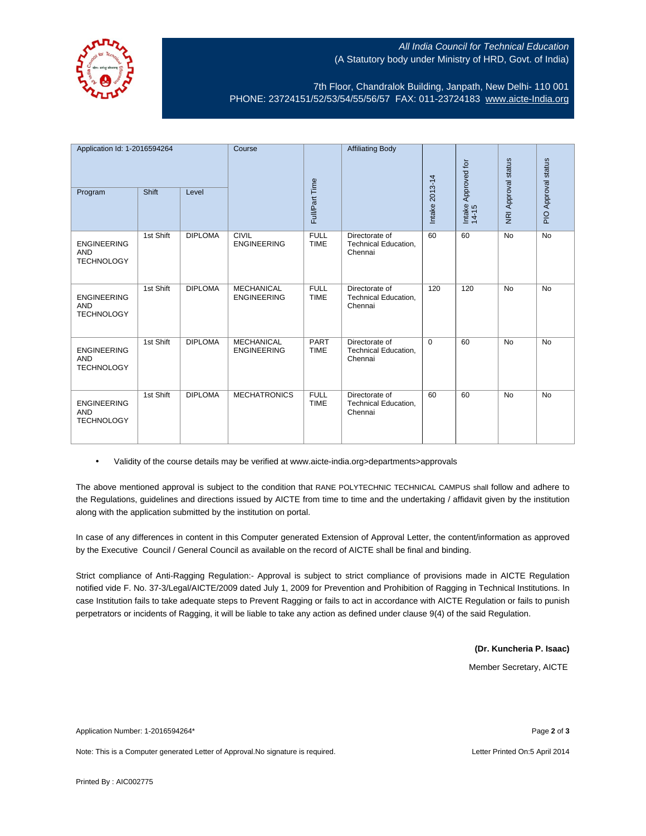

## **All India Council for Technical Education** (A Statutory body under Ministry of HRD, Govt. of India)

7th Floor, Chandralok Building, Janpath, New Delhi- 110 001 PHONE: 23724151/52/53/54/55/56/57 FAX: 011-23724183 [www.aicte-India.org](http://www.aicte-india.org/)

| Application Id: 1-2016594264                          |           | Course         |                                         | <b>Affiliating Body</b>    |                                                          |                |                              |                     |                     |
|-------------------------------------------------------|-----------|----------------|-----------------------------------------|----------------------------|----------------------------------------------------------|----------------|------------------------------|---------------------|---------------------|
|                                                       |           |                |                                         |                            |                                                          |                |                              |                     |                     |
| Program                                               | Shift     | Level          |                                         | Full/Part Time             |                                                          | Intake 2013-14 | Intake Approved for<br>14-15 | NRI Approval status | PIO Approval status |
| <b>ENGINEERING</b><br><b>AND</b><br><b>TECHNOLOGY</b> | 1st Shift | <b>DIPLOMA</b> | CIVIL<br><b>ENGINEERING</b>             | <b>FULL</b><br><b>TIME</b> | Directorate of<br><b>Technical Education,</b><br>Chennai | 60             | 60                           | <b>No</b>           | <b>No</b>           |
| <b>ENGINEERING</b><br><b>AND</b><br><b>TECHNOLOGY</b> | 1st Shift | <b>DIPLOMA</b> | <b>MECHANICAL</b><br><b>ENGINEERING</b> | <b>FULL</b><br><b>TIME</b> | Directorate of<br><b>Technical Education,</b><br>Chennai | 120            | 120                          | <b>No</b>           | <b>No</b>           |
| <b>ENGINEERING</b><br><b>AND</b><br><b>TECHNOLOGY</b> | 1st Shift | <b>DIPLOMA</b> | <b>MECHANICAL</b><br><b>ENGINEERING</b> | <b>PART</b><br><b>TIME</b> | Directorate of<br><b>Technical Education,</b><br>Chennai | $\Omega$       | 60                           | <b>No</b>           | <b>No</b>           |
| <b>ENGINEERING</b><br><b>AND</b><br><b>TECHNOLOGY</b> | 1st Shift | <b>DIPLOMA</b> | <b>MECHATRONICS</b>                     | <b>FULL</b><br><b>TIME</b> | Directorate of<br>Technical Education,<br>Chennai        | 60             | 60                           | <b>No</b>           | <b>No</b>           |

• Validity of the course details may be verified at www.aicte-india.org>departments>approvals

The above mentioned approval is subject to the condition that RANE POLYTECHNIC TECHNICAL CAMPUS shall follow and adhere to the Regulations, guidelines and directions issued by AICTE from time to time and the undertaking / affidavit given by the institution along with the application submitted by the institution on portal.

In case of any differences in content in this Computer generated Extension of Approval Letter, the content/information as approved by the Executive Council / General Council as available on the record of AICTE shall be final and binding.

Strict compliance of Anti-Ragging Regulation:- Approval is subject to strict compliance of provisions made in AICTE Regulation notified vide F. No. 37-3/Legal/AICTE/2009 dated July 1, 2009 for Prevention and Prohibition of Ragging in Technical Institutions. In case Institution fails to take adequate steps to Prevent Ragging or fails to act in accordance with AICTE Regulation or fails to punish perpetrators or incidents of Ragging, it will be liable to take any action as defined under clause 9(4) of the said Regulation.

> **(Dr. Kuncheria P. Isaac)** Member Secretary, AICTE

Application Number: 1-2016594264\* Page **2** of **3**

Note: This is a Computer generated Letter of Approval.No signature is required. Letter Printed On:5 April 2014